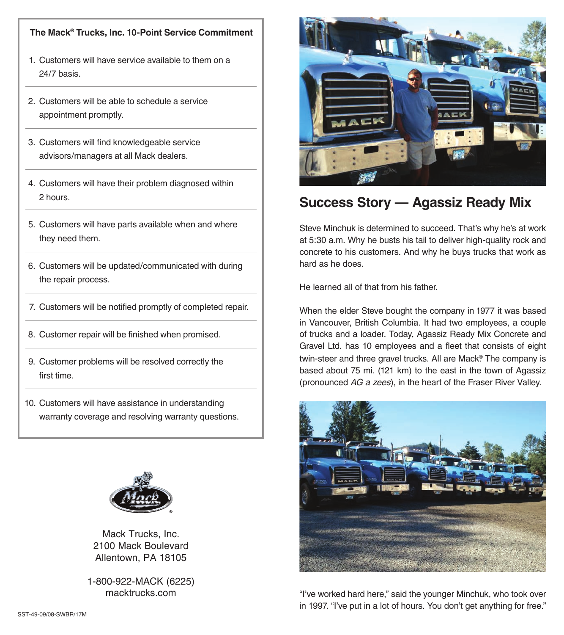## **The Mack® Trucks, Inc. 10-Point Service Commitment**

- 1. Customers will have service available to them on a 24/7 basis.
- 2. Customers will be able to schedule a service appointment promptly.
- 3. Customers will find knowledgeable service advisors/managers at all Mack dealers.
- 4. Customers will have their problem diagnosed within 2 hours.
- 5. Customers will have parts available when and where they need them.
- 6. Customers will be updated/communicated with during the repair process.
- 7. Customers will be notified promptly of completed repair.
- 8. Customer repair will be finished when promised.
- 9. Customer problems will be resolved correctly the first time.
- 10. Customers will have assistance in understanding warranty coverage and resolving warranty questions.



Mack Trucks, Inc. 2100 Mack Boulevard Allentown, PA 18105

1-800-922-MACK (6225) macktrucks.com



## **Success Story — Agassiz Ready Mix**

Steve Minchuk is determined to succeed. That's why he's at work at 5:30 a.m. Why he busts his tail to deliver high-quality rock and concrete to his customers. And why he buys trucks that work as hard as he does.

He learned all of that from his father.

When the elder Steve bought the company in 1977 it was based in Vancouver, British Columbia. It had two employees, a couple of trucks and a loader. Today, Agassiz Ready Mix Concrete and Gravel Ltd. has 10 employees and a fleet that consists of eight twin-steer and three gravel trucks. All are Mack® . The company is based about 75 mi. (121 km) to the east in the town of Agassiz (pronounced *AG a zees*), in the heart of the Fraser River Valley.



"I've worked hard here," said the younger Minchuk, who took over in 1997. "I've put in a lot of hours. You don't get anything for free."